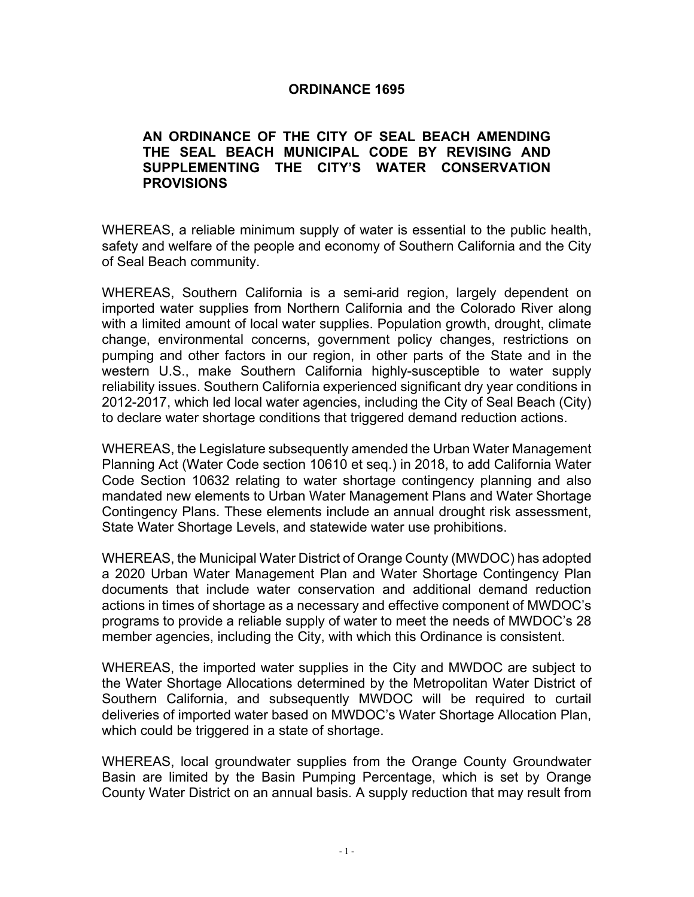#### **ORDINANCE 1695**

#### **AN ORDINANCE OF THE CITY OF SEAL BEACH AMENDING THE SEAL BEACH MUNICIPAL CODE BY REVISING AND SUPPLEMENTING THE CITY'S WATER CONSERVATION PROVISIONS**

WHEREAS, a reliable minimum supply of water is essential to the public health, safety and welfare of the people and economy of Southern California and the City of Seal Beach community.

WHEREAS, Southern California is a semi-arid region, largely dependent on imported water supplies from Northern California and the Colorado River along with a limited amount of local water supplies. Population growth, drought, climate change, environmental concerns, government policy changes, restrictions on pumping and other factors in our region, in other parts of the State and in the western U.S., make Southern California highly-susceptible to water supply reliability issues. Southern California experienced significant dry year conditions in 2012-2017, which led local water agencies, including the City of Seal Beach (City) to declare water shortage conditions that triggered demand reduction actions.

WHEREAS, the Legislature subsequently amended the Urban Water Management Planning Act (Water Code section 10610 et seq.) in 2018, to add California Water Code Section 10632 relating to water shortage contingency planning and also mandated new elements to Urban Water Management Plans and Water Shortage Contingency Plans. These elements include an annual drought risk assessment, State Water Shortage Levels, and statewide water use prohibitions.

WHEREAS, the Municipal Water District of Orange County (MWDOC) has adopted a 2020 Urban Water Management Plan and Water Shortage Contingency Plan documents that include water conservation and additional demand reduction actions in times of shortage as a necessary and effective component of MWDOC's programs to provide a reliable supply of water to meet the needs of MWDOC's 28 member agencies, including the City, with which this Ordinance is consistent.

WHEREAS, the imported water supplies in the City and MWDOC are subject to the Water Shortage Allocations determined by the Metropolitan Water District of Southern California, and subsequently MWDOC will be required to curtail deliveries of imported water based on MWDOC's Water Shortage Allocation Plan, which could be triggered in a state of shortage.

WHEREAS, local groundwater supplies from the Orange County Groundwater Basin are limited by the Basin Pumping Percentage, which is set by Orange County Water District on an annual basis. A supply reduction that may result from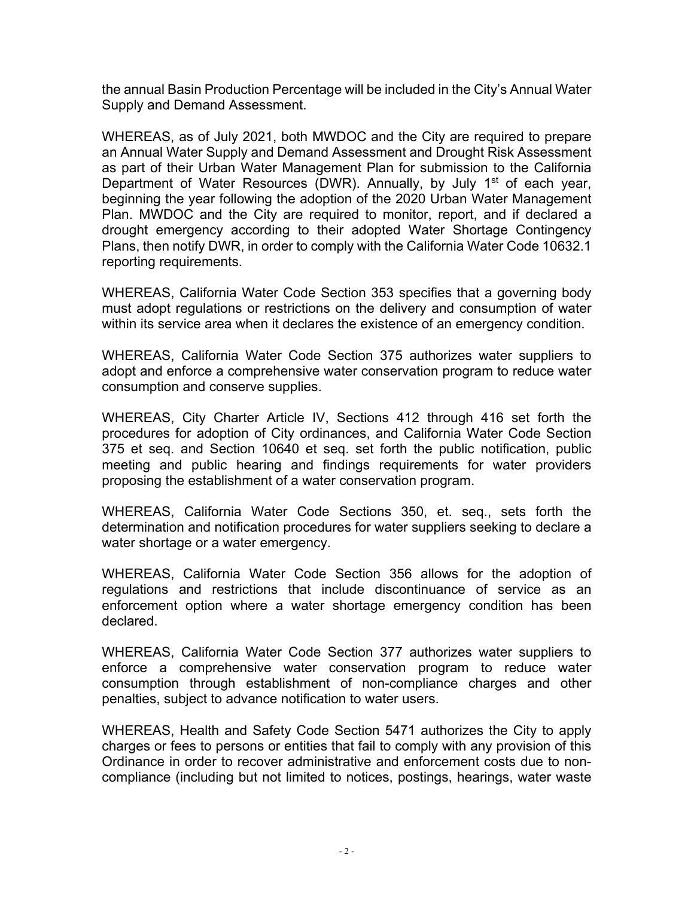the annual Basin Production Percentage will be included in the City's Annual Water Supply and Demand Assessment.

WHEREAS, as of July 2021, both MWDOC and the City are required to prepare an Annual Water Supply and Demand Assessment and Drought Risk Assessment as part of their Urban Water Management Plan for submission to the California Department of Water Resources (DWR). Annually, by July 1<sup>st</sup> of each year, beginning the year following the adoption of the 2020 Urban Water Management Plan. MWDOC and the City are required to monitor, report, and if declared a drought emergency according to their adopted Water Shortage Contingency Plans, then notify DWR, in order to comply with the California Water Code 10632.1 reporting requirements.

WHEREAS, California Water Code Section 353 specifies that a governing body must adopt regulations or restrictions on the delivery and consumption of water within its service area when it declares the existence of an emergency condition.

WHEREAS, California Water Code Section 375 authorizes water suppliers to adopt and enforce a comprehensive water conservation program to reduce water consumption and conserve supplies.

WHEREAS, City Charter Article IV, Sections 412 through 416 set forth the procedures for adoption of City ordinances, and California Water Code Section 375 et seq. and Section 10640 et seq. set forth the public notification, public meeting and public hearing and findings requirements for water providers proposing the establishment of a water conservation program.

WHEREAS, California Water Code Sections 350, et. seq., sets forth the determination and notification procedures for water suppliers seeking to declare a water shortage or a water emergency.

WHEREAS, California Water Code Section 356 allows for the adoption of regulations and restrictions that include discontinuance of service as an enforcement option where a water shortage emergency condition has been declared.

WHEREAS, California Water Code Section 377 authorizes water suppliers to enforce a comprehensive water conservation program to reduce water consumption through establishment of non-compliance charges and other penalties, subject to advance notification to water users.

WHEREAS, Health and Safety Code Section 5471 authorizes the City to apply charges or fees to persons or entities that fail to comply with any provision of this Ordinance in order to recover administrative and enforcement costs due to noncompliance (including but not limited to notices, postings, hearings, water waste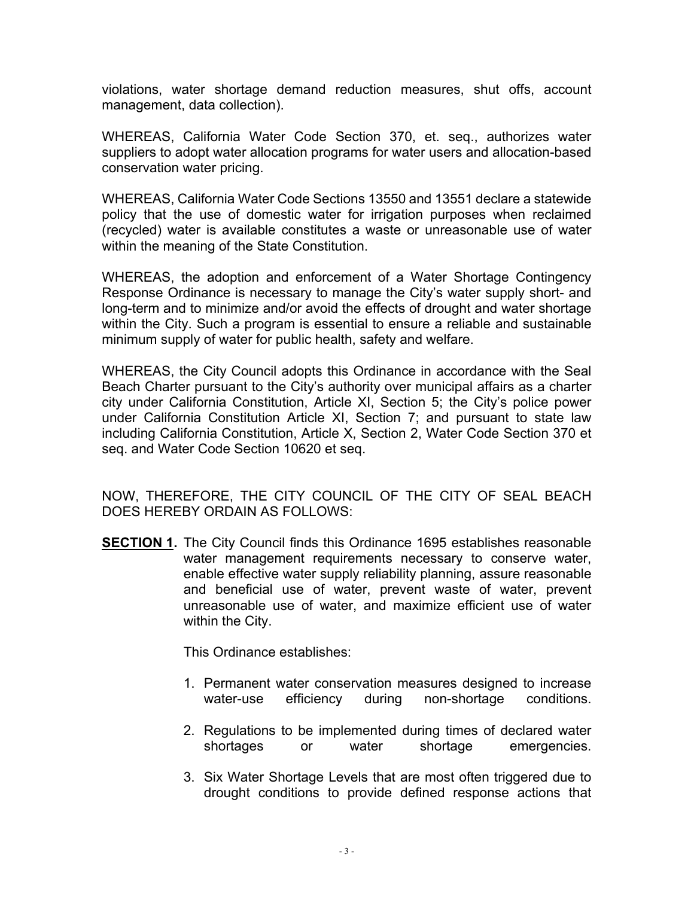violations, water shortage demand reduction measures, shut offs, account management, data collection).

WHEREAS, California Water Code Section 370, et. seq., authorizes water suppliers to adopt water allocation programs for water users and allocation-based conservation water pricing.

WHEREAS, California Water Code Sections 13550 and 13551 declare a statewide policy that the use of domestic water for irrigation purposes when reclaimed (recycled) water is available constitutes a waste or unreasonable use of water within the meaning of the State Constitution.

WHEREAS, the adoption and enforcement of a Water Shortage Contingency Response Ordinance is necessary to manage the City's water supply short- and long-term and to minimize and/or avoid the effects of drought and water shortage within the City. Such a program is essential to ensure a reliable and sustainable minimum supply of water for public health, safety and welfare.

WHEREAS, the City Council adopts this Ordinance in accordance with the Seal Beach Charter pursuant to the City's authority over municipal affairs as a charter city under California Constitution, Article XI, Section 5; the City's police power under California Constitution Article XI, Section 7; and pursuant to state law including California Constitution, Article X, Section 2, Water Code Section 370 et seq. and Water Code Section 10620 et seq.

NOW, THEREFORE, THE CITY COUNCIL OF THE CITY OF SEAL BEACH DOES HEREBY ORDAIN AS FOLLOWS:

**SECTION 1.** The City Council finds this Ordinance 1695 establishes reasonable water management requirements necessary to conserve water, enable effective water supply reliability planning, assure reasonable and beneficial use of water, prevent waste of water, prevent unreasonable use of water, and maximize efficient use of water within the City.

This Ordinance establishes:

- 1. Permanent water conservation measures designed to increase water-use efficiency during non-shortage conditions.
- 2. Regulations to be implemented during times of declared water shortages or water shortage emergencies.
- 3. Six Water Shortage Levels that are most often triggered due to drought conditions to provide defined response actions that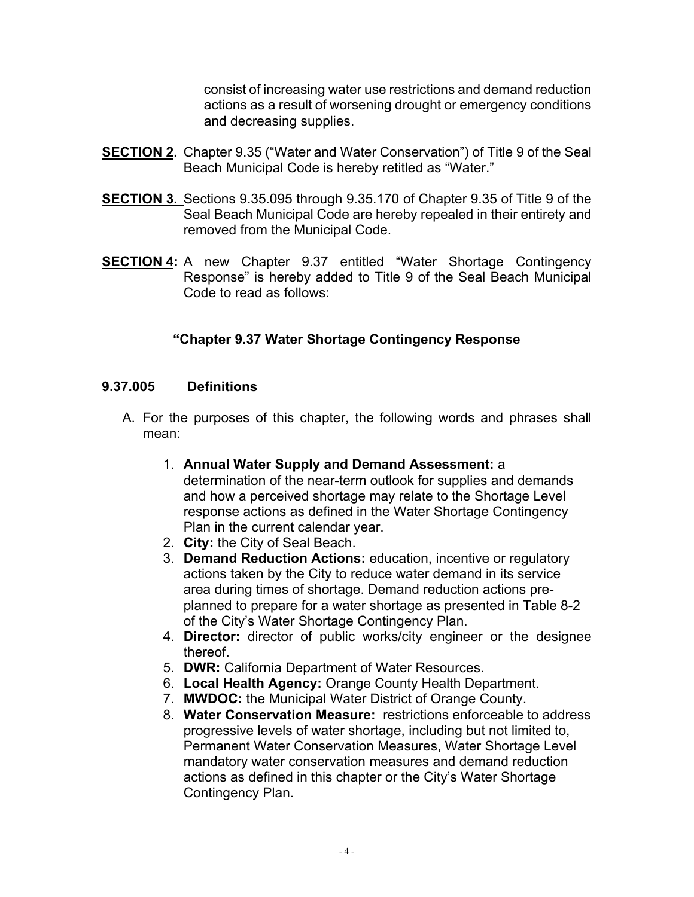consist of increasing water use restrictions and demand reduction actions as a result of worsening drought or emergency conditions and decreasing supplies.

- **SECTION 2.** Chapter 9.35 ("Water and Water Conservation") of Title 9 of the Seal Beach Municipal Code is hereby retitled as "Water."
- **SECTION 3.** Sections 9.35.095 through 9.35.170 of Chapter 9.35 of Title 9 of the Seal Beach Municipal Code are hereby repealed in their entirety and removed from the Municipal Code.
- **SECTION 4:** A new Chapter 9.37 entitled "Water Shortage Contingency Response" is hereby added to Title 9 of the Seal Beach Municipal Code to read as follows:

#### **"Chapter 9.37 Water Shortage Contingency Response**

#### **9.37.005 Definitions**

- A. For the purposes of this chapter, the following words and phrases shall mean:
	- 1. **Annual Water Supply and Demand Assessment:** a determination of the near-term outlook for supplies and demands and how a perceived shortage may relate to the Shortage Level response actions as defined in the Water Shortage Contingency Plan in the current calendar year.
	- 2. **City:** the City of Seal Beach.
	- 3. **Demand Reduction Actions:** education, incentive or regulatory actions taken by the City to reduce water demand in its service area during times of shortage. Demand reduction actions preplanned to prepare for a water shortage as presented in Table 8-2 of the City's Water Shortage Contingency Plan.
	- 4. **Director:** director of public works/city engineer or the designee thereof.
	- 5. **DWR:** California Department of Water Resources.
	- 6. **Local Health Agency:** Orange County Health Department.
	- 7. **MWDOC:** the Municipal Water District of Orange County.
	- 8. **Water Conservation Measure:** restrictions enforceable to address progressive levels of water shortage, including but not limited to, Permanent Water Conservation Measures, Water Shortage Level mandatory water conservation measures and demand reduction actions as defined in this chapter or the City's Water Shortage Contingency Plan.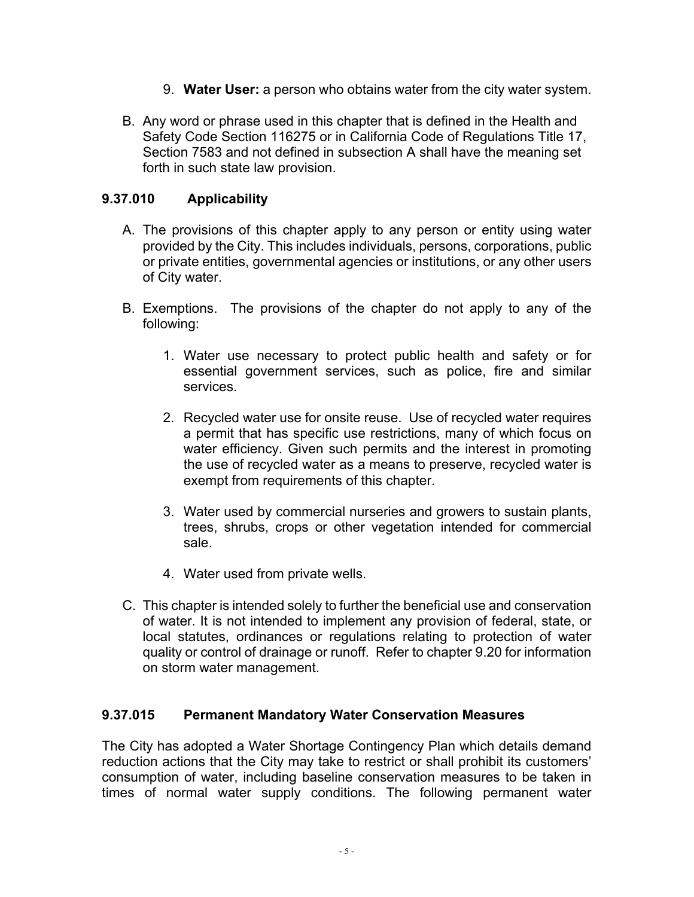- 9. **Water User:** a person who obtains water from the city water system.
- B. Any word or phrase used in this chapter that is defined in the Health and Safety Code Section 116275 or in California Code of Regulations Title 17, Section 7583 and not defined in subsection A shall have the meaning set forth in such state law provision.

## **9.37.010 Applicability**

- A. The provisions of this chapter apply to any person or entity using water provided by the City. This includes individuals, persons, corporations, public or private entities, governmental agencies or institutions, or any other users of City water.
- B. Exemptions. The provisions of the chapter do not apply to any of the following:
	- 1. Water use necessary to protect public health and safety or for essential government services, such as police, fire and similar services.
	- 2. Recycled water use for onsite reuse. Use of recycled water requires a permit that has specific use restrictions, many of which focus on water efficiency. Given such permits and the interest in promoting the use of recycled water as a means to preserve, recycled water is exempt from requirements of this chapter.
	- 3. Water used by commercial nurseries and growers to sustain plants, trees, shrubs, crops or other vegetation intended for commercial sale.
	- 4. Water used from private wells.
- C. This chapter is intended solely to further the beneficial use and conservation of water. It is not intended to implement any provision of federal, state, or local statutes, ordinances or regulations relating to protection of water quality or control of drainage or runoff. Refer to chapter 9.20 for information on storm water management.

#### **9.37.015 Permanent Mandatory Water Conservation Measures**

The City has adopted a Water Shortage Contingency Plan which details demand reduction actions that the City may take to restrict or shall prohibit its customers' consumption of water, including baseline conservation measures to be taken in times of normal water supply conditions. The following permanent water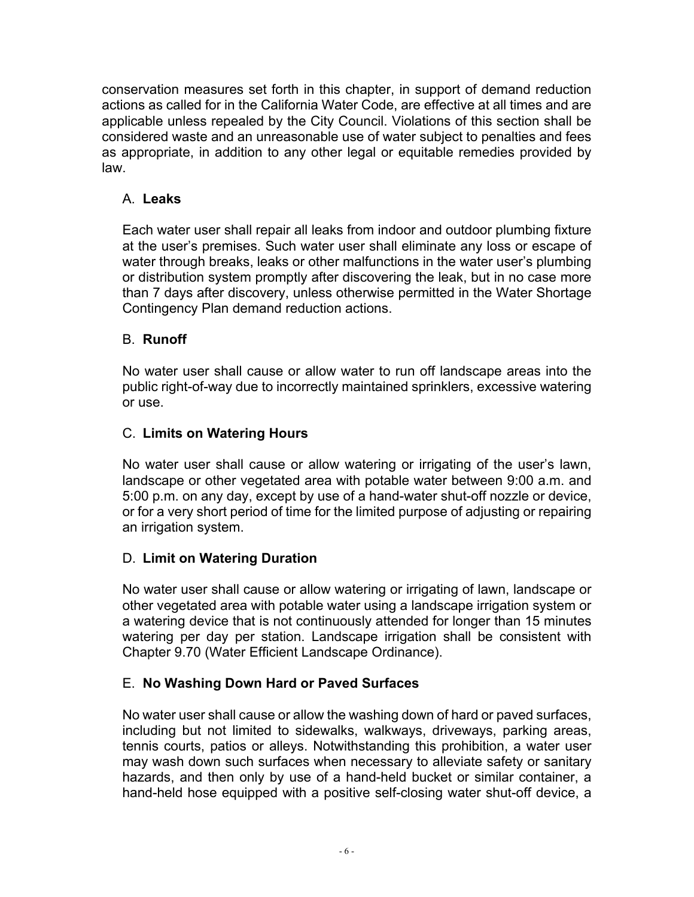conservation measures set forth in this chapter, in support of demand reduction actions as called for in the California Water Code, are effective at all times and are applicable unless repealed by the City Council. Violations of this section shall be considered waste and an unreasonable use of water subject to penalties and fees as appropriate, in addition to any other legal or equitable remedies provided by law.

## A. **Leaks**

Each water user shall repair all leaks from indoor and outdoor plumbing fixture at the user's premises. Such water user shall eliminate any loss or escape of water through breaks, leaks or other malfunctions in the water user's plumbing or distribution system promptly after discovering the leak, but in no case more than 7 days after discovery, unless otherwise permitted in the Water Shortage Contingency Plan demand reduction actions.

# B. **Runoff**

No water user shall cause or allow water to run off landscape areas into the public right-of-way due to incorrectly maintained sprinklers, excessive watering or use.

# C. **Limits on Watering Hours**

No water user shall cause or allow watering or irrigating of the user's lawn, landscape or other vegetated area with potable water between 9:00 a.m. and 5:00 p.m. on any day, except by use of a hand-water shut-off nozzle or device, or for a very short period of time for the limited purpose of adjusting or repairing an irrigation system.

# D. **Limit on Watering Duration**

No water user shall cause or allow watering or irrigating of lawn, landscape or other vegetated area with potable water using a landscape irrigation system or a watering device that is not continuously attended for longer than 15 minutes watering per day per station. Landscape irrigation shall be consistent with Chapter 9.70 (Water Efficient Landscape Ordinance).

## E. **No Washing Down Hard or Paved Surfaces**

No water user shall cause or allow the washing down of hard or paved surfaces, including but not limited to sidewalks, walkways, driveways, parking areas, tennis courts, patios or alleys. Notwithstanding this prohibition, a water user may wash down such surfaces when necessary to alleviate safety or sanitary hazards, and then only by use of a hand-held bucket or similar container, a hand-held hose equipped with a positive self-closing water shut-off device, a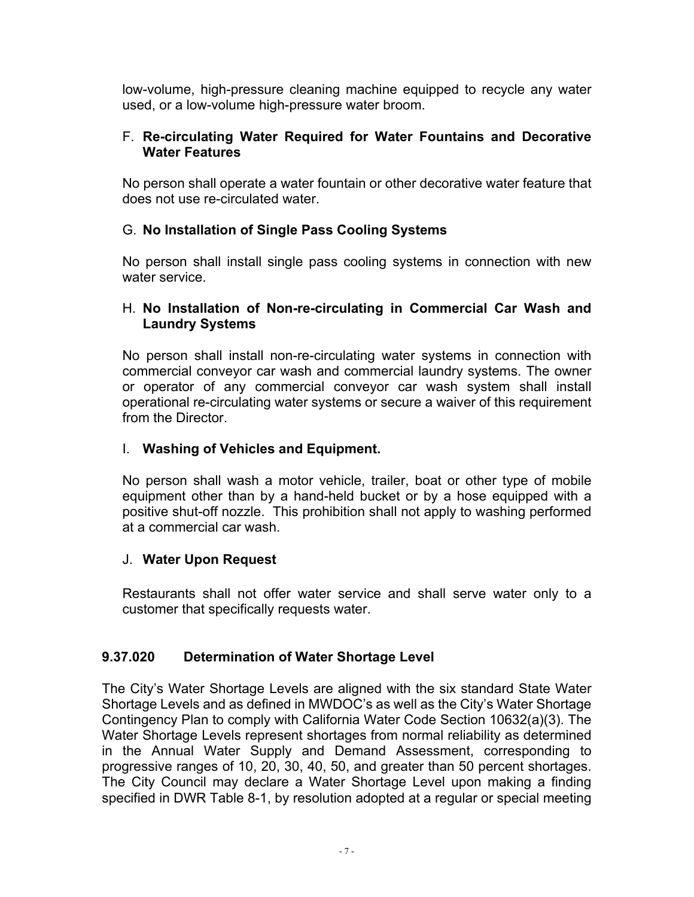low-volume, high-pressure cleaning machine equipped to recycle any water used, or a low-volume high-pressure water broom.

#### F. **Re-circulating Water Required for Water Fountains and Decorative Water Features**

No person shall operate a water fountain or other decorative water feature that does not use re-circulated water.

## G. **No Installation of Single Pass Cooling Systems**

No person shall install single pass cooling systems in connection with new water service.

#### H. **No Installation of Non-re-circulating in Commercial Car Wash and Laundry Systems**

No person shall install non-re-circulating water systems in connection with commercial conveyor car wash and commercial laundry systems. The owner or operator of any commercial conveyor car wash system shall install operational re-circulating water systems or secure a waiver of this requirement from the Director.

## I. **Washing of Vehicles and Equipment.**

No person shall wash a motor vehicle, trailer, boat or other type of mobile equipment other than by a hand-held bucket or by a hose equipped with a positive shut-off nozzle. This prohibition shall not apply to washing performed at a commercial car wash.

## J. **Water Upon Request**

Restaurants shall not offer water service and shall serve water only to a customer that specifically requests water.

# **9.37.020 Determination of Water Shortage Level**

The City's Water Shortage Levels are aligned with the six standard State Water Shortage Levels and as defined in MWDOC's as well as the City's Water Shortage Contingency Plan to comply with California Water Code Section 10632(a)(3). The Water Shortage Levels represent shortages from normal reliability as determined in the Annual Water Supply and Demand Assessment, corresponding to progressive ranges of 10, 20, 30, 40, 50, and greater than 50 percent shortages. The City Council may declare a Water Shortage Level upon making a finding specified in DWR Table 8-1, by resolution adopted at a regular or special meeting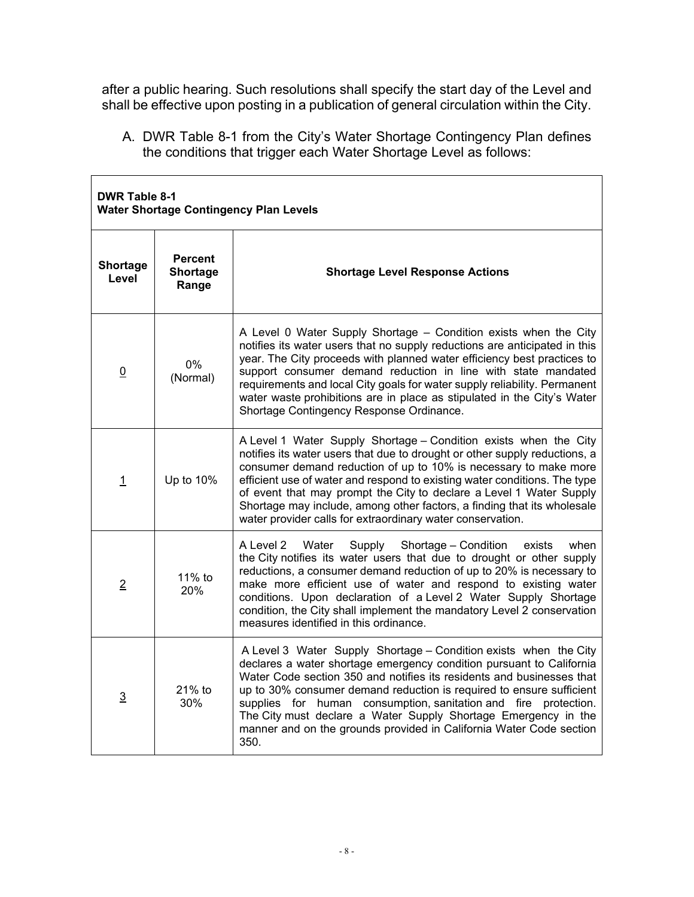after a public hearing. Such resolutions shall specify the start day of the Level and shall be effective upon posting in a publication of general circulation within the City.

A. DWR Table 8-1 from the City's Water Shortage Contingency Plan defines the conditions that trigger each Water Shortage Level as follows:

| <b>DWR Table 8-1</b><br><b>Water Shortage Contingency Plan Levels</b> |                                            |                                                                                                                                                                                                                                                                                                                                                                                                                                                                                                                 |  |
|-----------------------------------------------------------------------|--------------------------------------------|-----------------------------------------------------------------------------------------------------------------------------------------------------------------------------------------------------------------------------------------------------------------------------------------------------------------------------------------------------------------------------------------------------------------------------------------------------------------------------------------------------------------|--|
| <b>Shortage</b><br>Level                                              | <b>Percent</b><br><b>Shortage</b><br>Range | <b>Shortage Level Response Actions</b>                                                                                                                                                                                                                                                                                                                                                                                                                                                                          |  |
| $\underline{0}$                                                       | 0%<br>(Normal)                             | A Level 0 Water Supply Shortage - Condition exists when the City<br>notifies its water users that no supply reductions are anticipated in this<br>year. The City proceeds with planned water efficiency best practices to<br>support consumer demand reduction in line with state mandated<br>requirements and local City goals for water supply reliability. Permanent<br>water waste prohibitions are in place as stipulated in the City's Water<br>Shortage Contingency Response Ordinance.                  |  |
| $\overline{1}$                                                        | Up to 10%                                  | A Level 1 Water Supply Shortage - Condition exists when the City<br>notifies its water users that due to drought or other supply reductions, a<br>consumer demand reduction of up to 10% is necessary to make more<br>efficient use of water and respond to existing water conditions. The type<br>of event that may prompt the City to declare a Level 1 Water Supply<br>Shortage may include, among other factors, a finding that its wholesale<br>water provider calls for extraordinary water conservation. |  |
| $\overline{2}$                                                        | 11% to<br>20%                              | A Level 2<br>Supply Shortage - Condition<br>when<br>Water<br>exists<br>the City notifies its water users that due to drought or other supply<br>reductions, a consumer demand reduction of up to 20% is necessary to<br>make more efficient use of water and respond to existing water<br>conditions. Upon declaration of a Level 2 Water Supply Shortage<br>condition, the City shall implement the mandatory Level 2 conservation<br>measures identified in this ordinance.                                   |  |
| $\overline{3}$                                                        | 21% to<br>30%                              | A Level 3 Water Supply Shortage - Condition exists when the City<br>declares a water shortage emergency condition pursuant to California<br>Water Code section 350 and notifies its residents and businesses that<br>up to 30% consumer demand reduction is required to ensure sufficient<br>supplies for human consumption, sanitation and fire protection.<br>The City must declare a Water Supply Shortage Emergency in the<br>manner and on the grounds provided in California Water Code section<br>350.   |  |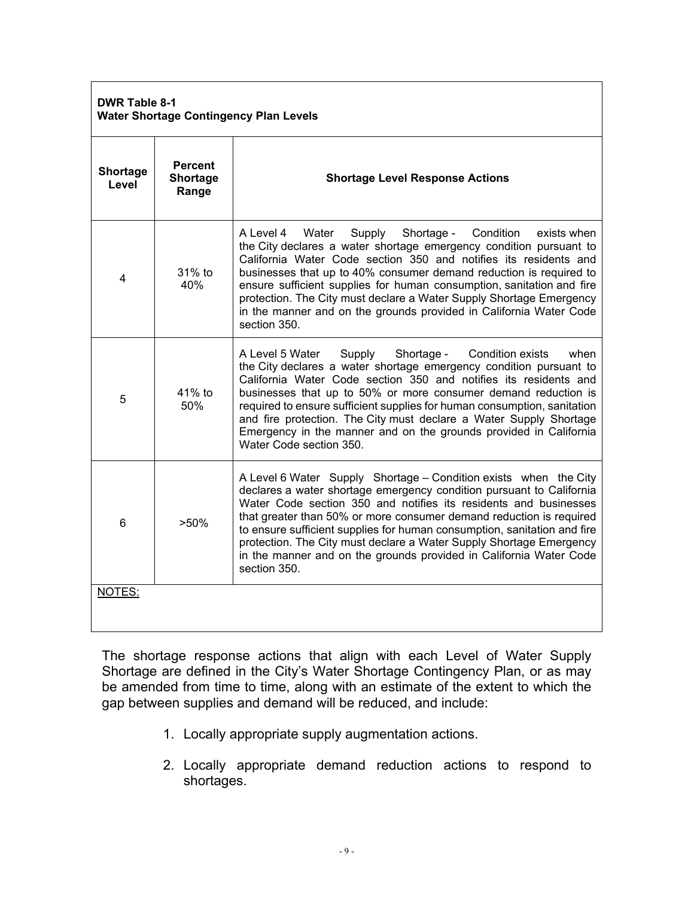#### **DWR Table 8-1 Water Shortage Contingency Plan Levels**

| <b>Shortage</b><br>Level | <b>Percent</b><br><b>Shortage</b><br>Range | <b>Shortage Level Response Actions</b>                                                                                                                                                                                                                                                                                                                                                                                                                                                                                       |  |
|--------------------------|--------------------------------------------|------------------------------------------------------------------------------------------------------------------------------------------------------------------------------------------------------------------------------------------------------------------------------------------------------------------------------------------------------------------------------------------------------------------------------------------------------------------------------------------------------------------------------|--|
| 4                        | $31\%$ to<br>40%                           | Shortage -<br>Condition<br>A Level 4<br>Water<br>Supply<br>exists when<br>the City declares a water shortage emergency condition pursuant to<br>California Water Code section 350 and notifies its residents and<br>businesses that up to 40% consumer demand reduction is required to<br>ensure sufficient supplies for human consumption, sanitation and fire<br>protection. The City must declare a Water Supply Shortage Emergency<br>in the manner and on the grounds provided in California Water Code<br>section 350. |  |
| 5                        | 41% to<br>50%                              | Supply Shortage - Condition exists<br>when<br>A Level 5 Water<br>the City declares a water shortage emergency condition pursuant to<br>California Water Code section 350 and notifies its residents and<br>businesses that up to 50% or more consumer demand reduction is<br>required to ensure sufficient supplies for human consumption, sanitation<br>and fire protection. The City must declare a Water Supply Shortage<br>Emergency in the manner and on the grounds provided in California<br>Water Code section 350.  |  |
| 6                        | $>50\%$                                    | A Level 6 Water Supply Shortage - Condition exists when the City<br>declares a water shortage emergency condition pursuant to California<br>Water Code section 350 and notifies its residents and businesses<br>that greater than 50% or more consumer demand reduction is required<br>to ensure sufficient supplies for human consumption, sanitation and fire<br>protection. The City must declare a Water Supply Shortage Emergency<br>in the manner and on the grounds provided in California Water Code<br>section 350. |  |
| NOTES:                   |                                            |                                                                                                                                                                                                                                                                                                                                                                                                                                                                                                                              |  |
|                          |                                            |                                                                                                                                                                                                                                                                                                                                                                                                                                                                                                                              |  |

The shortage response actions that align with each Level of Water Supply Shortage are defined in the City's Water Shortage Contingency Plan, or as may be amended from time to time, along with an estimate of the extent to which the gap between supplies and demand will be reduced, and include:

- 1. Locally appropriate supply augmentation actions.
- 2. Locally appropriate demand reduction actions to respond to shortages.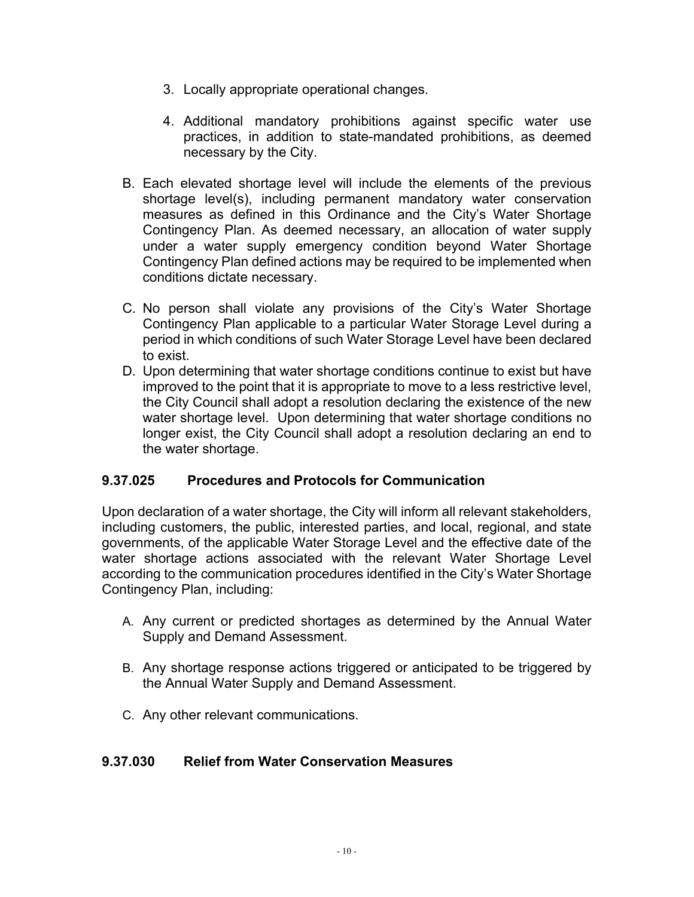- 3. Locally appropriate operational changes.
- 4. Additional mandatory prohibitions against specific water use practices, in addition to state-mandated prohibitions, as deemed necessary by the City.
- B. Each elevated shortage level will include the elements of the previous shortage level(s), including permanent mandatory water conservation measures as defined in this Ordinance and the City's Water Shortage Contingency Plan. As deemed necessary, an allocation of water supply under a water supply emergency condition beyond Water Shortage Contingency Plan defined actions may be required to be implemented when conditions dictate necessary.
- C. No person shall violate any provisions of the City's Water Shortage Contingency Plan applicable to a particular Water Storage Level during a period in which conditions of such Water Storage Level have been declared to exist.
- D. Upon determining that water shortage conditions continue to exist but have improved to the point that it is appropriate to move to a less restrictive level, the City Council shall adopt a resolution declaring the existence of the new water shortage level. Upon determining that water shortage conditions no longer exist, the City Council shall adopt a resolution declaring an end to the water shortage.

## **9.37.025 Procedures and Protocols for Communication**

Upon declaration of a water shortage, the City will inform all relevant stakeholders, including customers, the public, interested parties, and local, regional, and state governments, of the applicable Water Storage Level and the effective date of the water shortage actions associated with the relevant Water Shortage Level according to the communication procedures identified in the City's Water Shortage Contingency Plan, including:

- A. Any current or predicted shortages as determined by the Annual Water Supply and Demand Assessment.
- B. Any shortage response actions triggered or anticipated to be triggered by the Annual Water Supply and Demand Assessment.
- C. Any other relevant communications.

## **9.37.030 Relief from Water Conservation Measures**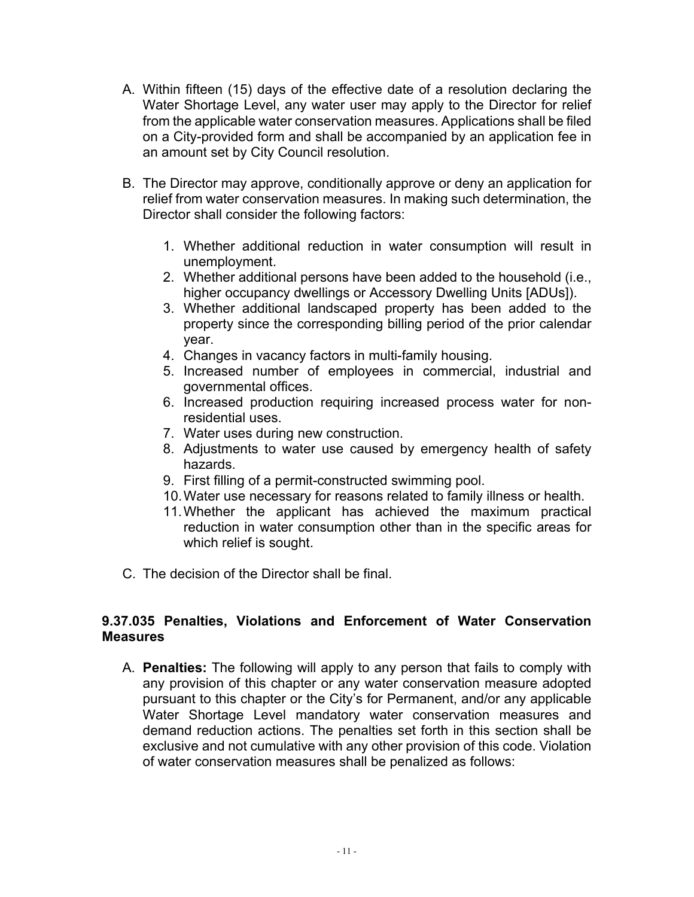- A. Within fifteen (15) days of the effective date of a resolution declaring the Water Shortage Level, any water user may apply to the Director for relief from the applicable water conservation measures. Applications shall be filed on a City-provided form and shall be accompanied by an application fee in an amount set by City Council resolution.
- B. The Director may approve, conditionally approve or deny an application for relief from water conservation measures. In making such determination, the Director shall consider the following factors:
	- 1. Whether additional reduction in water consumption will result in unemployment.
	- 2. Whether additional persons have been added to the household (i.e., higher occupancy dwellings or Accessory Dwelling Units [ADUs]).
	- 3. Whether additional landscaped property has been added to the property since the corresponding billing period of the prior calendar year.
	- 4. Changes in vacancy factors in multi-family housing.
	- 5. Increased number of employees in commercial, industrial and governmental offices.
	- 6. Increased production requiring increased process water for nonresidential uses.
	- 7. Water uses during new construction.
	- 8. Adjustments to water use caused by emergency health of safety hazards.
	- 9. First filling of a permit-constructed swimming pool.
	- 10. Water use necessary for reasons related to family illness or health.
	- 11. Whether the applicant has achieved the maximum practical reduction in water consumption other than in the specific areas for which relief is sought.
- C. The decision of the Director shall be final.

## **9.37.035 Penalties, Violations and Enforcement of Water Conservation Measures**

A. **Penalties:** The following will apply to any person that fails to comply with any provision of this chapter or any water conservation measure adopted pursuant to this chapter or the City's for Permanent, and/or any applicable Water Shortage Level mandatory water conservation measures and demand reduction actions. The penalties set forth in this section shall be exclusive and not cumulative with any other provision of this code. Violation of water conservation measures shall be penalized as follows: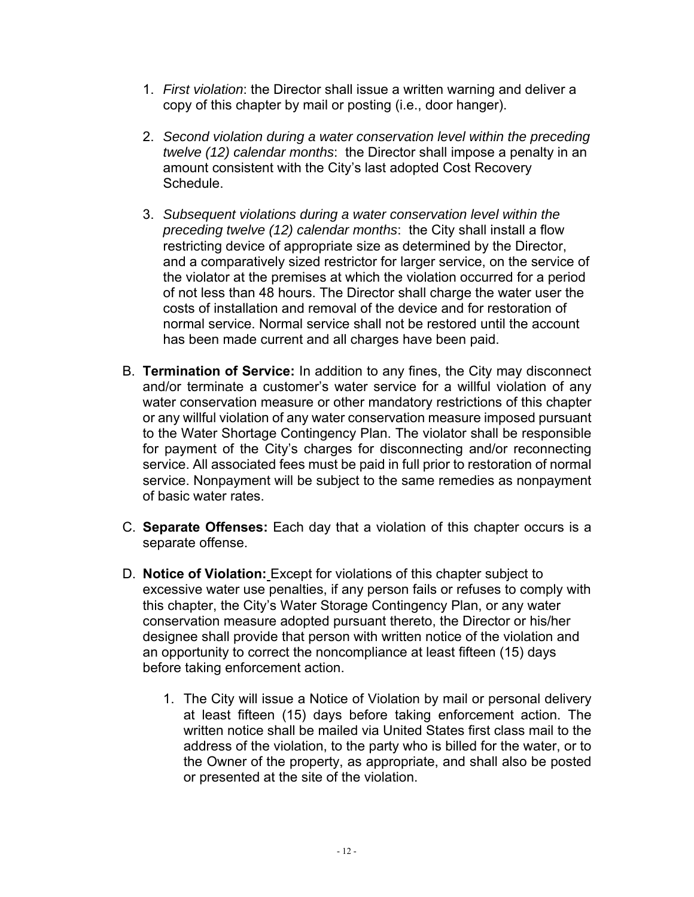- 1. *First violation*: the Director shall issue a written warning and deliver a copy of this chapter by mail or posting (i.e., door hanger).
- 2. *Second violation during a water conservation level within the preceding twelve (12) calendar months*: the Director shall impose a penalty in an amount consistent with the City's last adopted Cost Recovery **Schedule**
- 3. *Subsequent violations during a water conservation level within the preceding twelve (12) calendar months*: the City shall install a flow restricting device of appropriate size as determined by the Director, and a comparatively sized restrictor for larger service, on the service of the violator at the premises at which the violation occurred for a period of not less than 48 hours. The Director shall charge the water user the costs of installation and removal of the device and for restoration of normal service. Normal service shall not be restored until the account has been made current and all charges have been paid.
- B. **Termination of Service:** In addition to any fines, the City may disconnect and/or terminate a customer's water service for a willful violation of any water conservation measure or other mandatory restrictions of this chapter or any willful violation of any water conservation measure imposed pursuant to the Water Shortage Contingency Plan. The violator shall be responsible for payment of the City's charges for disconnecting and/or reconnecting service. All associated fees must be paid in full prior to restoration of normal service. Nonpayment will be subject to the same remedies as nonpayment of basic water rates.
- C. **Separate Offenses:** Each day that a violation of this chapter occurs is a separate offense.
- D. **Notice of Violation:** Except for violations of this chapter subject to excessive water use penalties, if any person fails or refuses to comply with this chapter, the City's Water Storage Contingency Plan, or any water conservation measure adopted pursuant thereto, the Director or his/her designee shall provide that person with written notice of the violation and an opportunity to correct the noncompliance at least fifteen (15) days before taking enforcement action.
	- 1. The City will issue a Notice of Violation by mail or personal delivery at least fifteen (15) days before taking enforcement action. The written notice shall be mailed via United States first class mail to the address of the violation, to the party who is billed for the water, or to the Owner of the property, as appropriate, and shall also be posted or presented at the site of the violation.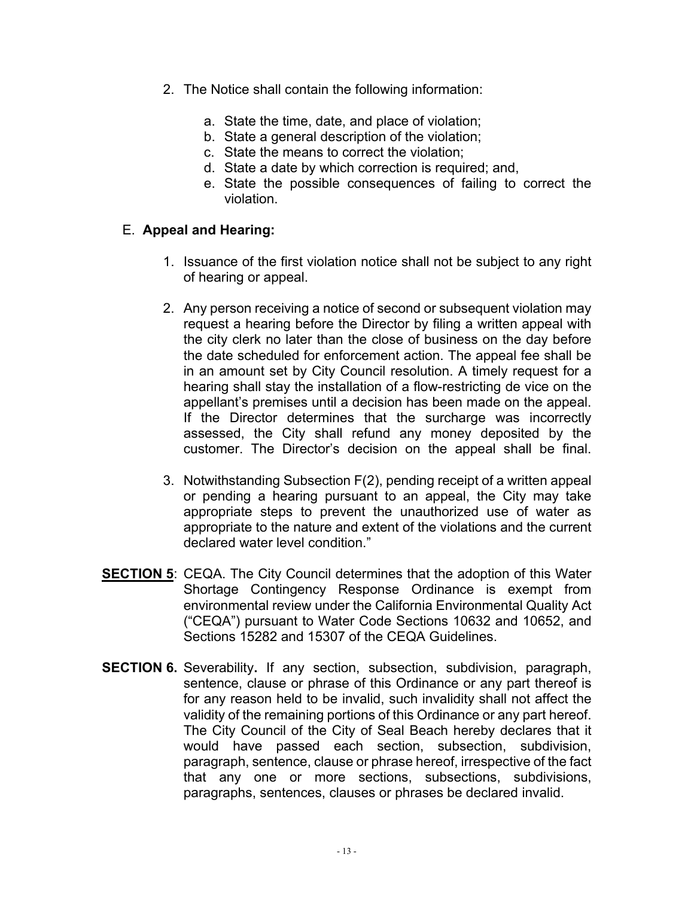- 2. The Notice shall contain the following information:
	- a. State the time, date, and place of violation;
	- b. State a general description of the violation;
	- c. State the means to correct the violation;
	- d. State a date by which correction is required; and,
	- e. State the possible consequences of failing to correct the violation.

#### E. **Appeal and Hearing:**

- 1. Issuance of the first violation notice shall not be subject to any right of hearing or appeal.
- 2. Any person receiving a notice of second or subsequent violation may request a hearing before the Director by filing a written appeal with the city clerk no later than the close of business on the day before the date scheduled for enforcement action. The appeal fee shall be in an amount set by City Council resolution. A timely request for a hearing shall stay the installation of a flow-restricting de vice on the appellant's premises until a decision has been made on the appeal. If the Director determines that the surcharge was incorrectly assessed, the City shall refund any money deposited by the customer. The Director's decision on the appeal shall be final.
- 3. Notwithstanding Subsection F(2), pending receipt of a written appeal or pending a hearing pursuant to an appeal, the City may take appropriate steps to prevent the unauthorized use of water as appropriate to the nature and extent of the violations and the current declared water level condition."
- **SECTION 5**: CEQA. The City Council determines that the adoption of this Water Shortage Contingency Response Ordinance is exempt from environmental review under the California Environmental Quality Act ("CEQA") pursuant to Water Code Sections 10632 and 10652, and Sections 15282 and 15307 of the CEQA Guidelines.
- **SECTION 6.** Severability**.** If any section, subsection, subdivision, paragraph, sentence, clause or phrase of this Ordinance or any part thereof is for any reason held to be invalid, such invalidity shall not affect the validity of the remaining portions of this Ordinance or any part hereof. The City Council of the City of Seal Beach hereby declares that it would have passed each section, subsection, subdivision, paragraph, sentence, clause or phrase hereof, irrespective of the fact that any one or more sections, subsections, subdivisions, paragraphs, sentences, clauses or phrases be declared invalid.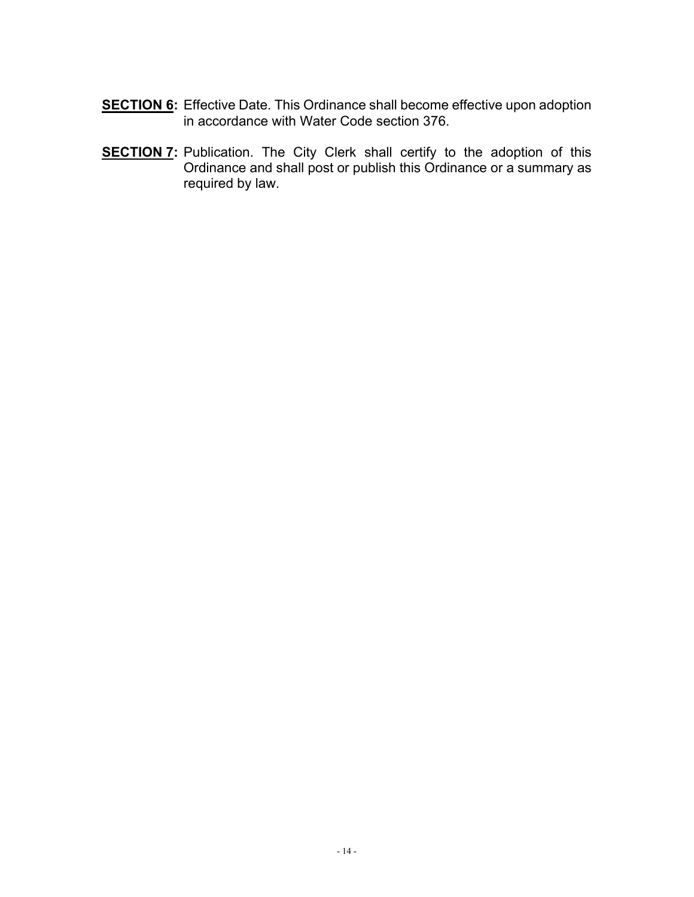- **SECTION 6:** Effective Date. This Ordinance shall become effective upon adoption in accordance with Water Code section 376.
- **SECTION 7:** Publication. The City Clerk shall certify to the adoption of this Ordinance and shall post or publish this Ordinance or a summary as required by law.